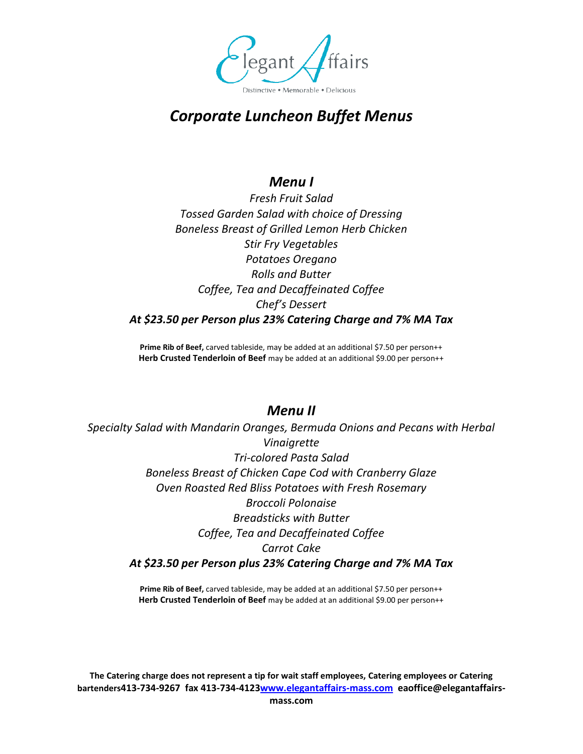

# *Corporate Luncheon Buffet Menus*

### *Menu I*

*Fresh Fruit Salad Tossed Garden Salad with choice of Dressing Boneless Breast of Grilled Lemon Herb Chicken Stir Fry Vegetables Potatoes Oregano Rolls and Butter Coffee, Tea and Decaffeinated Coffee Chef's Dessert At \$23.50 per Person plus 23% Catering Charge and 7% MA Tax*

**Prime Rib of Beef,** carved tableside, may be added at an additional \$7.50 per person++ Herb Crusted Tenderloin of Beef may be added at an additional \$9.00 per person++

#### *Menu II*

*Specialty Salad with Mandarin Oranges, Bermuda Onions and Pecans with Herbal Vinaigrette Tri-colored Pasta Salad Boneless Breast of Chicken Cape Cod with Cranberry Glaze Oven Roasted Red Bliss Potatoes with Fresh Rosemary Broccoli Polonaise Breadsticks with Butter Coffee, Tea and Decaffeinated Coffee Carrot Cake At \$23.50 per Person plus 23% Catering Charge and 7% MA Tax*

> Prime Rib of Beef, carved tableside, may be added at an additional \$7.50 per person++ **Herb Crusted Tenderloin of Beef** may be added at an additional \$9.00 per person++

**The Catering charge does not represent a tip for wait staff employees, Catering employees or Catering bartenders413-734-9267 fax 413-734-4123www.elegantaffairs-mass.com eaoffice@elegantaffairs-**